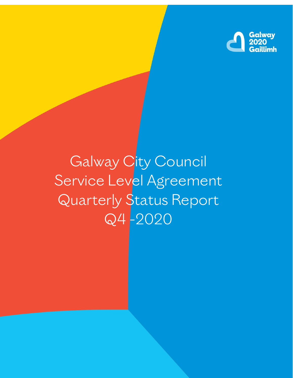

# Galway City Council Service Level Agreement Quarterly Status Report Q4 -2020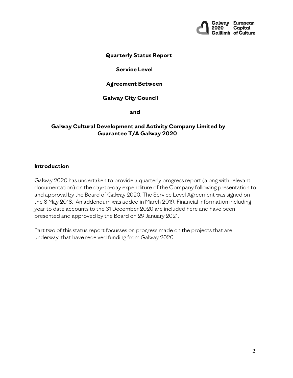

#### **Quarterly Status Report**

#### **Service Level**

#### **Agreement Between**

#### **Galway City Council**

**and**

#### **Galway Cultural Development and Activity Company Limited by Guarantee T/A Galway 2020**

#### **Introduction**

Galway 2020 has undertaken to provide a quarterly progress report (along with relevant documentation) on the day-to-day expenditure of the Company following presentation to and approval by the Board of Galway 2020. The Service Level Agreement was signed on the 8 May 2018. An addendum was added in March 2019. Financial information including year to date accounts to the 31 December 2020 are included here and have been presented and approved by the Board on 29 January 2021.

Part two of this status report focusses on progress made on the projects that are underway, that have received funding from Galway 2020.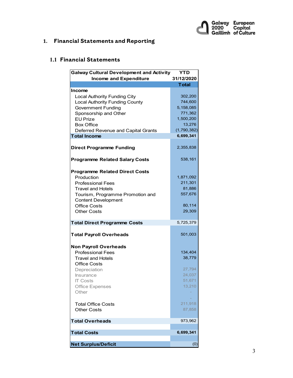

# **1. Financial Statements and Reporting**

## **1.1 Financial Statements**

| <b>Galway Cultural Development and Activity</b><br>YTD |              |  |
|--------------------------------------------------------|--------------|--|
| <b>Income and Expenditure</b>                          | 31/12/2020   |  |
|                                                        | <b>Total</b> |  |
| <b>Income</b>                                          |              |  |
| <b>Local Authority Funding City</b>                    | 302,200      |  |
| <b>Local Authority Funding County</b>                  | 744,600      |  |
| <b>Government Funding</b>                              | 5,158,085    |  |
| Sponsorship and Other                                  | 771,362      |  |
| <b>EU</b> Prize                                        | 1,500,200    |  |
| <b>Box Office</b>                                      | 13,276       |  |
| Deferred Revenue and Capital Grants                    | (1,790,382)  |  |
| <b>Total Income</b>                                    | 6,699,341    |  |
|                                                        |              |  |
| <b>Direct Programme Funding</b>                        | 2,355,838    |  |
|                                                        |              |  |
| <b>Programme Related Salary Costs</b>                  | 538,161      |  |
|                                                        |              |  |
| <b>Programme Related Direct Costs</b>                  |              |  |
| Production                                             | 1,871,092    |  |
| <b>Professional Fees</b>                               | 211,301      |  |
| <b>Travel and Hotels</b>                               | 81,886       |  |
| Tourism, Programme Promotion and                       | 557,676      |  |
| <b>Content Development</b>                             |              |  |
| <b>Office Costs</b>                                    | 80,114       |  |
| <b>Other Costs</b>                                     | 29,309       |  |
|                                                        |              |  |
| <b>Total Direct Programme Costs</b>                    | 5,725,379    |  |
| <b>Total Payroll Overheads</b>                         | 501,003      |  |
| <b>Non Payroll Overheads</b>                           |              |  |
| <b>Professional Fees</b>                               | 134,404      |  |
| <b>Travel and Hotels</b>                               | 38,779       |  |
| <b>Office Costs</b>                                    |              |  |
| Depreciation                                           | 27,794       |  |
| <b>Insurance</b>                                       | 24,037       |  |
| <b>IT Costs</b>                                        | 51,671       |  |
| Office Expenses                                        | 13,210       |  |
| Other                                                  |              |  |
|                                                        |              |  |
| <b>Total Office Costs</b>                              | 211,918      |  |
| <b>Other Costs</b>                                     | 87,858       |  |
|                                                        |              |  |
| <b>Total Overheads</b>                                 | 973,962      |  |
| <b>Total Costs</b>                                     | 6,699,341    |  |
|                                                        |              |  |
| <b>Net Surplus/Deficit</b>                             | (0)          |  |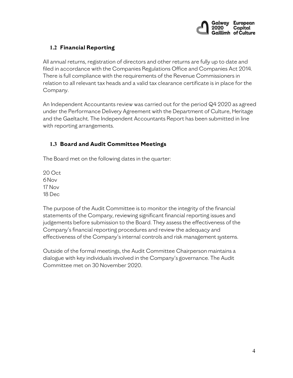

# **1.2 Financial Reporting**

All annual returns, registration of directors and other returns are fully up to date and filed in accordance with the Companies Regulations Office and Companies Act 2014. There is full compliance with the requirements of the Revenue Commissioners in relation to all relevant tax heads and a valid tax clearance certificate is in place for the Company.

An Independent Accountants review was carried out for the period Q4 2020 as agreed under the Performance Delivery Agreement with the Department of Culture, Heritage and the Gaeltacht. The Independent Accountants Report has been submitted in line with reporting arrangements.

# **1.3 Board and Audit Committee Meetings**

The Board met on the following dates in the quarter:

20 Oct 6Nov 17 Nov 18 Dec

The purpose of the Audit Committee is to monitor the integrity of the financial statements of the Company, reviewing significant financial reporting issues and judgements before submission to the Board. They assess the effectiveness of the Company's financial reporting procedures and review the adequacy and effectiveness of the Company's internal controls and risk management systems.

Outside of the formal meetings, the Audit Committee Chairperson maintains a dialogue with key individuals involved in the Company's governance. The Audit Committee met on 30 November 2020.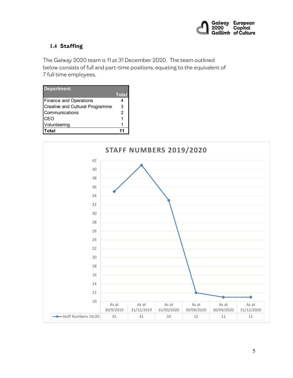

# **1.4 Staffing**

The Galway 2020 team is 11 at 31 December 2020. The team outlined below consists of full and part-time positions, equating to the equivalent of 7 full time employees.

| <b>Department</b>                      | <b>Total</b> |
|----------------------------------------|--------------|
| <b>Finance and Operations</b>          |              |
| <b>Creative and Cultural Programme</b> | 3            |
| Communications                         | 2            |
| CEO                                    |              |
| Volunteering                           |              |
| Total                                  | 11           |

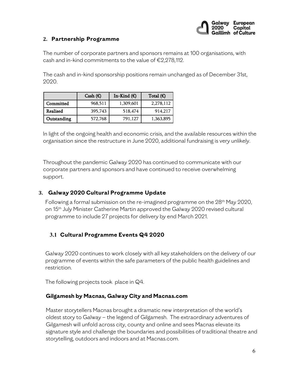

#### **2. Partnership Programme**

The number of corporate partners and sponsors remains at 100 organisations, with cash and in-kind commitments to the value of €2,278,112.

The cash and in-kind sponsorship positions remain unchanged as of December 31st, 2020.

|             | Cash $(\epsilon)$ | In-Kind $(E)$ | Total $(\epsilon)$ |
|-------------|-------------------|---------------|--------------------|
| Committed   | 968,511           | 1,309,601     | 2,278,112          |
| Realised    | 395,743           | 518,474       | 914,217            |
| Outstanding | 572,768           | 791.127       | 1,363,895          |

In light of the ongoing health and economic crisis, and the available resources within the organisation since the restructure in June 2020, additional fundraising is very unlikely.

Throughout the pandemic Galway 2020 has continued to communicate with our corporate partners and sponsors and have continued to receive overwhelming support.

# **3. Galway 2020 Cultural Programme Update**

Following a formal submission on the re-imagined programme on the  $28<sup>th</sup>$  May 2020, on 15th July Minister Catherine Martin approved the Galway 2020 revised cultural programme to include 27 projects for delivery by end March 2021.

# **3.1 Cultural Programme Events Q4 2020**

Galway 2020 continues to work closely with all key stakeholders on the delivery of our programme of events within the safe parameters of the public health guidelines and restriction.

The following projects took place in Q4.

#### **Gilgamesh by Macnas, Galway City and Macnas.com**

Master storytellers Macnas brought a dramatic new interpretation of the world's oldest story to Galway – the legend of Gilgamesh. The extraordinary adventures of Gilgamesh will unfold across city, county and online and sees Macnas elevate its signature style and challenge the boundaries and possibilities of traditional theatre and storytelling, outdoors and indoors and at Macnas.com.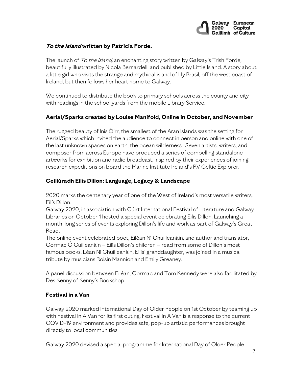

## **To the Island written by Patricia Forde.**

The launch of To the Island, an enchanting story written by Galway's Trish Forde, beautifully illustrated by Nicola Bernardelli and published by Little Island. A story about a little girl who visits the strange and mythical island of Hy Brasil, off the west coast of Ireland, but then follows her heart home to Galway.

We continued to distribute the book to primary schools across the county and city with readings in the school yards from the mobile Library Service.

## **Aerial/Sparks created by Louise Manifold, Online in October, and November**

The rugged beauty of Inis Óirr, the smallest of the Aran Islands was the setting for Aerial/Sparks which invited the audience to connect in person and online with one of the last unknown spaces on earth, the ocean wilderness. Seven artists, writers, and composer from across Europe have produced a series of compelling standalone artworks for exhibition and radio broadcast, inspired by their experiences of joining research expeditions on board the Marine Institute Ireland's RV Celtic Explorer.

## **Ceiliúradh Eilís Dillon: Language, Legacy & Landscape**

2020 marks the centenary year of one of the West of Ireland's most versatile writers, Eilís Dillon.

Galway 2020, in association with Cúirt International Festival of Literature and Galway Libraries on October 1 hosted a special event celebrating Eilís Dillon. Launching a month-long series of events exploring Dillon's life and work as part of Galway's Great Read.

The online event celebrated poet, Eiléan Ní Chuilleanáin, and author and translator, Cormac Ó Cuilleanáin – Eilís Dillon's children – read from some of Dillon's most famous books. Léan Ní Chuilleanáin, Eilís' granddaughter, was joined in a musical tribute by musicians Roisin Mannion and Emily Greaney.

A panel discussion between Eiléan, Cormac and Tom Kennedy were also facilitated by Des Kenny of Kenny's Bookshop.

#### **Festival in a Van**

Galway 2020 marked International Day of Older People on 1st October by teaming up with Festival In A Van for its first outing. Festival In A Van is a response to the current COVID-19 environment and provides safe, pop-up artistic performances brought directly to local communities.

Galway 2020 devised a special programme for International Day of Older People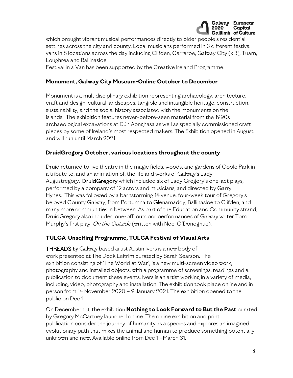

which brought vibrant musical performances directly to older people's residential settings across the city and county. Local musicians performed in 3 different festival vans in 8 locations across the day including Clifden, Carraroe, Galway City (x 3), Tuam, Loughrea and Ballinasloe.

Festival in a Van has been supported by the Creative Ireland Programme.

## **Monument, Galway City Museum-Online October to December**

Monument is a multidisciplinary exhibition representing archaeology, architecture, craft and design, cultural landscapes, tangible and intangible heritage, construction, sustainability, and the social history associated with the monuments on the islands. The exhibition features never-before-seen material from the 1990s archaeological excavations at Dún Aonghasa as well as specially commissioned craft pieces by some of Ireland's most respected makers. The Exhibition opened in August and will run until March 2021.

## **DruidGregory October, various locations throughout the county**

Druid returned to live theatre in the magic fields, woods, and gardens of Coole Park in a tribute to, and an animation of, the life and works of Galway's Lady Augustregory. DruidGregory which included six of Lady Gregory's one-act plays, performed by a company of 12 actors and musicians, and directed by Garry Hynes. This was followed by a barnstorming 14 venue, four-week tour of Gregory's beloved County Galway, from Portumna to Glenamaddy, Ballinasloe to Clifden, and many more communities in between. As part of the Education and Community strand, DruidGregory also included one-off, outdoor performances of Galway writer Tom Murphy's first play, On the Outside (written with Noel O'Donoghue).

# **TULCA-Unselfing Programme, TULCA Festival of Visual Arts**

**THREADS** by Galway based artist Austin Ivers is a new body of work presented at The Dock Leitrim curated by Sarah Searson. The exhibition consisting of 'The World at War', is a new multi-screen video work, photography and installed objects, with a programme of screenings, readings and a publication to document these events. Ivers is an artist working in a variety of media, including, video, photography and installation. The exhibition took place online and in person from 14 November 2020 – 9 January 2021. The exhibition opened to the public on Dec 1.

On December 1st, the exhibition **Nothing to Look Forward to But the Past** curated by Gregory McCartney launched online. The online exhibition and print publication consider the journey of humanity as a species and explores an imagined evolutionary path that mixes the animal and human to produce something potentially unknown and new. Available online from Dec 1 –March 31.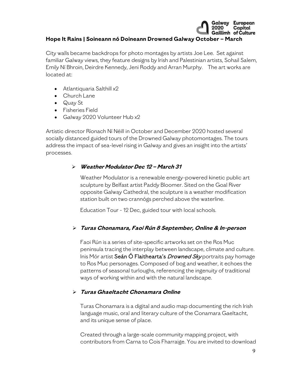# **Hope It Rains | Soineann nó Doineann Drowned Galway October – March**

City walls became backdrops for photo montages by artists Joe Lee. Set against familiar Galway views, they feature designs by Irish and Palestinian artists, Sohail Salem, Emily Ní Bhroin, Deirdre Kennedy, Jeni Roddy and Arran Murphy. The art works are located at:

- Atlantiquaria Salthill x2
- Church Lane
- Quay St
- Fisheries Field
- Galway 2020 Volunteer Hub x2

Artistic director Ríonach Ní Néill in October and December 2020 hosted several socially distanced guided tours of the Drowned Galway photomontages. The tours address the impact of sea-level rising in Galway and gives an insight into the artists' processes.

# **Weather Modulator Dec 12 – March 31**

Weather Modulator is a renewable energy-powered kinetic public art sculpture by Belfast artist Paddy Bloomer. Sited on the Goal River opposite Galway Cathedral, the sculpture is a weather modification station built on two crannógs perched above the waterline.

Education Tour - 12 Dec, guided tour with local schools.

# **Turas Chonamara, Faoi Rún 8 September, Online & In-person**

Faoi Rún is a series of site-specific artworks set on the Ros Muc peninsula tracing the interplay between landscape, climate and culture. Inis Mór artist Seán Ó Flaithearta's *Drowned Sky* portraits pay homage to Ros Muc personages. Composed of bog and weather, it echoes the patterns of seasonal turloughs, referencing the ingenuity of traditional ways of working within and with the natural landscape.

# **Turas Ghaeltacht Chonamara Online**

Turas Chonamara is a digital and audio map documenting the rich Irish language music, oral and literary culture of the Conamara Gaeltacht, and its unique sense of place.

Created through a large-scale community mapping project, with contributors from Carna to Cois Fharraige. You are invited to download

Galway European

Capital 2020 Capıtaı<br>Gaillimh of Culture

2020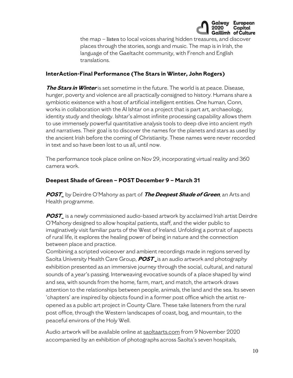

the map – listen to local voices sharing hidden treasures, and discover places through the stories, songs and music. The map is in Irish, the language of the Gaeltacht community, with French and English translations.

#### **InterAction-Final Performance (The Stars in Winter, John Rogers)**

**The Stars in Winter** is set sometime in the future. The world is at peace. Disease, hunger, poverty and violence are all practically consigned to history. Humans share a symbiotic existence with a host of artificial intelligent entities. One human, Conn, works in collaboration with the AI Ishtar on a project that is part art, archaeology, identity study and theology. Ishtar's almost infinite processing capability allows them to use immensely powerful quantitative analysis tools to deep dive into ancient myth and narratives. Their goal is to discover the names for the planets and stars as used by the ancient Irish before the coming of Christianity. These names were never recorded in text and so have been lost to us all, until now.

The performance took place online on Nov 29, incorporating virtual reality and 360 camera work.

# **Deepest Shade of Green – POST December 9 – March 31**

**POST\_** by Deirdre O'Mahony as part of **The Deepest Shade of Green**, an Arts and Health programme.

**POST\_** is a newly commissioned audio-based artwork by acclaimed Irish artist Deirdre O'Mahony designed to allow hospital patients, staff, and the wider public to imaginatively visit familiar parts of the West of Ireland. Unfolding a portrait of aspects of rural life, it explores the healing power of being in nature and the connection between place and practice.

Combining a scripted voiceover and ambient recordings made in regions served by Saolta University Health Care Group, **POST \_**is an audio artwork and photography exhibition presented as an immersive journey through the social, cultural, and natural sounds of a year's passing. Interweaving evocative sounds of a place shaped by wind and sea, with sounds from the home, farm, mart, and match, the artwork draws attention to the relationships between people, animals, the land and the sea. Its seven 'chapters' are inspired by objects found in a former post office which the artist reopened as a public art project in County Clare. These take listeners from the rural post office, through the Western landscapes of coast, bog, and mountain, to the peaceful environs of the Holy Well.

Audio artwork will be available online at [saoltaarts.com](http://www.saoltaarts.com/) from 9 November 2020 accompanied by an exhibition of photographs across Saolta's seven hospitals,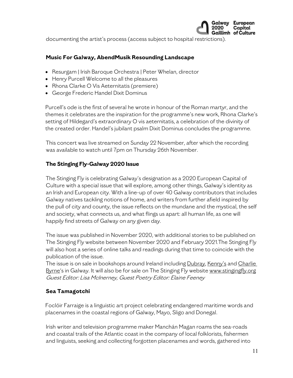

documenting the artist's process (access subject to hospital restrictions).

#### **Music For Galway, AbendMusik Resounding Landscape**

- Resurgam | Irish Baroque Orchestra | Peter Whelan, director
- Henry Purcell Welcome to all the pleasures
- Rhona Clarke O Vis Aeternitatis (premiere)
- George Frederic Handel Dixit Dominus

Purcell's ode is the first of several he wrote in honour of the Roman martyr, and the themes it celebrates are the inspiration for the programme's new work, Rhona Clarke's setting of Hildegard's extraordinary O vis aeternitatis, a celebration of the divinity of the created order. Handel's jubilant psalm Dixit Dominus concludes the programme.

This concert was live streamed on Sunday 22 November, after which the recording was available to watch until 7pm on Thursday 26th November.

# **The Stinging Fly-Galway 2020 Issue**

The Stinging Fly is celebrating Galway's designation as a 2020 European Capital of Culture with a special issue that will explore, among other things, Galway's identity as an Irish and European city. With a line-up of over 40 Galway contributors that includes Galway natives tackling notions of home, and writers from further afield inspired by the pull of city and county, the issue reflects on the mundane and the mystical, the self and society, what connects us, and what flings us apart: all human life, as one will happily find streets of Galway on any given day.

The issue was published in November 2020, with additional stories to be published on The Stinging Fly website between November 2020 and February 2021.The Stinging Fly will also host a series of online talks and readings during that time to coincide with the publication of the issue.

The issue is on sale in bookshops around Ireland including [Dubray,](https://www.dubraybooks.ie/THE-STINGING-FLY-ISSUE-43-VOLUME-TWO-WINTER-2020-21_9781906539856) [Kenny's](https://www.kennys.ie/bestsellers/bestsellers-fiction-literature/the-stinging-fly-galway-2020-edition-issue-43-volume-2-winter-2020-21) and Charlie [Byrne'](https://charliebyrne.ie/product/the-stinging-fly-issue-43-volume-two-winter-2020-21-the-galway-2020-editon/)s in Galway. It will also be for sale on The Stinging Fly website [www.stingingfly.org](https://stingingfly.org/product/winter-2020-21-the-galway-2020-edition/) Guest Editor: Lisa McInerney, Guest Poetry Editor: Elaine Feeney

# **Sea Tamagotchi**

Foclóir Farraige is a linguistic art project celebrating endangered maritime words and placenames in the coastal regions of Galway, Mayo, Sligo and Donegal.

Irish writer and television programme maker Manchán Magan roams the sea-roads and coastal trails of the Atlantic coast in the company of local folklorists, fishermen and linguists, seeking and collecting forgotten placenames and words, gathered into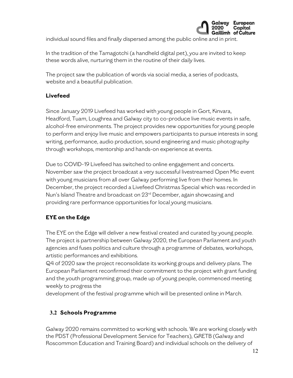

individual sound files and finally dispersed among the public online and in print.

In the tradition of the Tamagotchi (a handheld digital pet), you are invited to keep these words alive, nurturing them in the routine of their daily lives.

The project saw the publication of words via social media, a series of podcasts, website and a beautiful publication.

# **Livefeed**

Since January 2019 Livefeed has worked with young people in Gort, Kinvara, Headford, Tuam, Loughrea and Galway city to co-produce live music events in safe, alcohol-free environments. The project provides new opportunities for young people to perform and enjoy live music and empowers participants to pursue interests in song writing, performance, audio production, sound engineering and music photography through workshops, mentorship and hands-on experience at events.

Due to COVID-19 Livefeed has switched to online engagement and concerts. November saw the project broadcast a very successful livestreamed Open Mic event with young musicians from all over Galway performing live from their homes. In December, the project recorded a Livefeed Christmas Special which was recorded in Nun's Island Theatre and broadcast on 23<sup>rd</sup> December, again showcasing and providing rare performance opportunities for local young musicians.

# **EYE on the Edge**

The EYE on the Edge will deliver a new festival created and curated by young people. The project is partnership between Galway 2020, the European Parliament and youth agencies and fuses politics and culture through a programme of debates, workshops, artistic performances and exhibitions.

Q4 of 2020 saw the project reconsolidate its working groups and delivery plans. The European Parliament reconfirmed their commitment to the project with grant funding and the youth programming group, made up of young people, commenced meeting weekly to progress the

development of the festival programme which will be presented online in March.

# **3.2 Schools Programme**

Galway 2020 remains committed to working with schools. We are working closely with the PDST (Professional Development Service for Teachers), GRETB (Galway and Roscommon Education and Training Board) and individual schools on the delivery of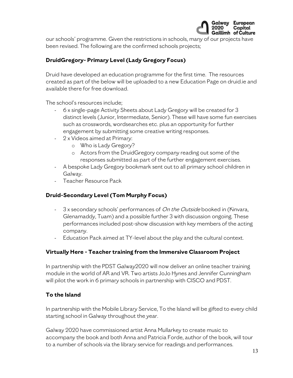

our schools' programme. Given the restrictions in schools, many of our projects have been revised. The following are the confirmed schools projects;

# **DruidGregory- Primary Level (Lady Gregory Focus)**

Druid have developed an education programme for the first time. The resources created as part of the below will be uploaded to a new Education Page on druid.ie and available there for free download.

The school's resources include;

- 6 x single-page Activity Sheets about Lady Gregory will be created for 3 distinct levels (Junior, Intermediate, Senior). These will have some fun exercises such as crosswords, wordsearches etc. plus an opportunity for further engagement by submitting some creative writing responses.
- 2 x Videos aimed at Primary:
	- o Who is Lady Gregory?
	- o Actors from the DruidGregory company reading out some of the responses submitted as part of the further engagement exercises.
- A bespoke Lady Gregory bookmark sent out to all primary school children in Galway.
- Teacher Resource Pack

#### **Druid-Secondary Level (Tom Murphy Focus)**

- 3 x secondary schools' performances of On the Outside booked in (Kinvara, Glenamaddy, Tuam) and a possible further 3 with discussion ongoing. These performances included post-show discussion with key members of the acting company.
- Education Pack aimed at TY-level about the play and the cultural context.

#### **Virtually Here - Teacher training from the Immersive Classroom Project**

In partnership with the PDST Galway2020 will now deliver an online teacher training module in the world of AR and VR. Two artists JoJo Hynes and Jennifer Cunningham will pilot the work in 6 primary schools in partnership with CISCO and PDST.

#### **To the Island**

In partnership with the Mobile Library Service, To the Island will be gifted to every child starting school in Galway throughout the year.

Galway 2020 have commissioned artist Anna Mullarkey to create music to accompany the book and both Anna and Patricia Forde, author of the book, will tour to a number of schools via the library service for readings and performances.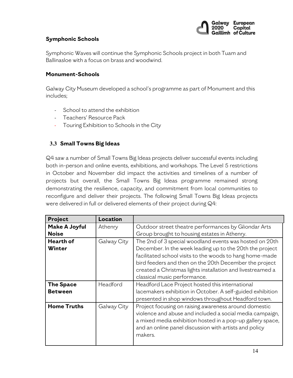

#### **Symphonic Schools**

Symphonic Waves will continue the Symphonic Schools project in both Tuam and Ballinasloe with a focus on brass and woodwind.

#### **Monument-Schools**

Galway City Museum developed a school's programme as part of Monument and this includes;

- School to attend the exhibition
- Teachers' Resource Pack
- Touring Exhibition to Schools in the City

# **3.3 Small Towns Big Ideas**

Q4 saw a number of Small Towns Big Ideas projects deliver successful events including both in-person and online events, exhibitions, and workshops. The Level 5 restrictions in October and November did impact the activities and timelines of a number of projects but overall, the Small Towns Big Ideas programme remained strong demonstrating the resilience, capacity, and commitment from local communities to reconfigure and deliver their projects. The following Small Towns Big Ideas projects were delivered in full or delivered elements of their project during Q4:

| Project                              | Location    |                                                                                                                                                                                                                                                                                                                                         |
|--------------------------------------|-------------|-----------------------------------------------------------------------------------------------------------------------------------------------------------------------------------------------------------------------------------------------------------------------------------------------------------------------------------------|
| <b>Make A Joyful</b><br><b>Noise</b> | Athenry     | Outdoor street theatre performances by Gliondar Arts<br>Group brought to housing estates in Athenry.                                                                                                                                                                                                                                    |
| Hearth of<br><b>Winter</b>           | Galway City | The 2nd of 3 special woodland events was hosted on 20th<br>December. In the week leading up to the 20th the project<br>facilitated school visits to the woods to hang home-made<br>bird feeders and then on the 20th December the project<br>created a Christmas lights installation and livestreamed a<br>classical music performance. |
| <b>The Space</b><br><b>Between</b>   | Headford    | Headford Lace Project hosted this international<br>lacemakers exhibition in October. A self-guided exhibition<br>presented in shop windows throughout Headford town.                                                                                                                                                                    |
| <b>Home Truths</b>                   | Galway City | Project focusing on raising awareness around domestic<br>violence and abuse and included a social media campaign,<br>a mixed media exhibition hosted in a pop-up gallery space,<br>and an online panel discussion with artists and policy<br>makers.                                                                                    |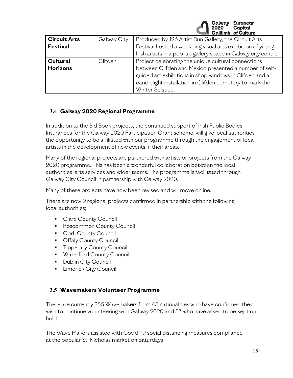

| <b>Circuit Arts</b> | Galway City | Produced by 126 Artist Run Gallery, the Circuit Arts                                                              |  |
|---------------------|-------------|-------------------------------------------------------------------------------------------------------------------|--|
| <b>Festival</b>     |             | Festival hosted a weeklong visual arts exhibition of young                                                        |  |
|                     |             | Irish artists in a pop-up gallery space in Galway city centre.                                                    |  |
| <b>Cultural</b>     | Clifden     | Project celebrating the unique cultural connections                                                               |  |
| <b>Horizons</b>     |             | between Clifden and Mexico presented a number of self-<br>guided art exhibitions in shop windows in Clifden and a |  |
|                     |             | candlelight installation in Clifden cemetery to mark the                                                          |  |
|                     |             | Winter Solstice.                                                                                                  |  |

# **3.4 Galway 2020 Regional Programme**

In addition to the Bid Book projects, the continued support of Irish Public Bodies Insurances for the Galway 2020 Participation Grant scheme, will give local authorities the opportunity to be affiliated with our programme through the engagement of local artists in the development of new events in their areas.

Many of the regional projects are partnered with artists or projects from the Galway 2020 programme. This has been a wonderful collaboration between the local authorities' arts services and wider teams. The programme is facilitated through Galway City Council in partnership with Galway 2020.

Many of these projects have now been revised and will move online.

There are now 9 regional projects confirmed in partnership with the following local authorities;

- **Clare County Council**
- **Roscommon County Council**
- **Cork County Council**
- **Offaly County Council**
- **Tipperary County Council**
- **Waterford County Council**
- **Dublin City Council**
- **E** Limerick City Council

# **3.5 Wavemakers Volunteer Programme**

There are currently 355 Wavemakers from 45 nationalities who have confirmed they wish to continue volunteering with Galway 2020 and 57 who have asked to be kept on hold.

The Wave Makers assisted with Covid-19 social distancing measures compliance at the popular St. Nicholas market on Saturdays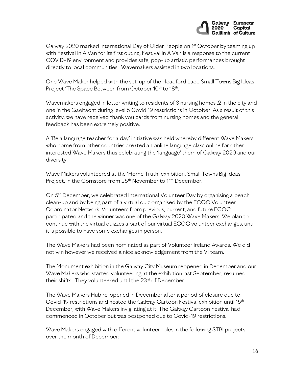

Galway 2020 marked International Day of Older People on 1st October by teaming up with Festival In A Van for its first outing. Festival In A Van is a response to the current COVID-19 environment and provides safe, pop-up artistic performances brought directly to local communities. Wavemakers assisted in two locations.

One Wave Maker helped with the set-up of the Headford Lace Small Towns Big Ideas Project 'The Space Between from October 10th to 18th.

Wavemakers engaged in letter writing to residents of 3 nursing homes ,2 in the city and one in the Gaeltacht during level 5 Covid 19 restrictions in October. As a result of this activity, we have received thank you cards from nursing homes and the general feedback has been extremely positive.

A 'Be a language teacher for a day' initiative was held whereby different Wave Makers who come from other countries created an online language class online for other interested Wave Makers thus celebrating the 'language' them of Galway 2020 and our diversity.

Wave Makers volunteered at the 'Home Truth' exhibition, Small Towns Big Ideas Project, in the Cornstore from 25<sup>th</sup> November to 11<sup>th</sup> December.

On 5<sup>th</sup> December, we celebrated International Volunteer Day by organising a beach clean-up and by being part of a virtual quiz organised by the ECOC Volunteer Coordinator Network. Volunteers from previous, current, and future ECOC participated and the winner was one of the Galway 2020 Wave Makers. We plan to continue with the virtual quizzes a part of our virtual ECOC volunteer exchanges, until it is possible to have some exchanges in person.

The Wave Makers had been nominated as part of Volunteer Ireland Awards. We did not win however we received a nice acknowledgement from the VI team.

The Monument exhibition in the Galway City Museum reopened in December and our Wave Makers who started volunteering at the exhibition last September, resumed their shifts. They volunteered until the 23<sup>rd</sup> of December.

The Wave Makers Hub re-opened in December after a period of closure due to Covid-19 restrictions and hosted the Galway Cartoon Festival exhibition until 15th December, with Wave Makers invigilating at it. The Galway Cartoon Festival had commenced in October but was postponed due to Covid-19 restrictions.

Wave Makers engaged with different volunteer roles in the following STBI projects over the month of December: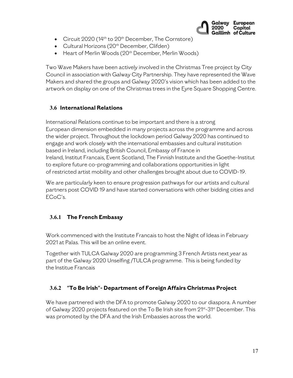

- Circuit  $2020$  (14<sup>th</sup> to  $20<sup>th</sup>$  December, The Cornstore)
- Cultural Horizons (20<sup>th</sup> December, Clifden)
- Heart of Merlin Woods (20<sup>th</sup> December, Merlin Woods)

Two Wave Makers have been actively involved in the Christmas Tree project by City Council in association with Galway City Partnership. They have represented the Wave Makers and shared the groups and Galway 2020's vision which has been added to the artwork on display on one of the Christmas trees in the Eyre Square Shopping Centre.

# **3.6 International Relations**

International Relations continue to be important and there is a strong European dimension embedded in many projects across the programme and across the wider project. Throughout the lockdown period Galway 2020 has continued to engage and work closely with the international embassies and cultural institution based in Ireland, including British Council, Embassy of France in Ireland, Institut Francais, Event Scotland, The Finnish Institute and the Goethe-Institut to explore future co-programming and collaborations opportunities in light of restricted artist mobility and other challenges brought about due to COVID-19.

We are particularly keen to ensure progression pathways for our artists and cultural partners post COVID 19 and have started conversations with other bidding cities and ECoC's.

# **3.6.1 The French Embassy**

Work commenced with the Institute Francais to host the Night of Ideas in February 2021 at Palas. This will be an online event.

Together with TULCA Galway 2020 are programming 3 French Artists next year as part of the Galway 2020 Unselfing /TULCA programme. This is being funded by the Institue Francais

# **3.6.2** "**To Be Irish**"**- Department of Foreign Affairs Christmas Project**

We have partnered with the DFA to promote Galway 2020 to our diaspora. A number of Galway 2020 projects featured on the To Be Irish site from 21<sup>st</sup>-31<sup>st</sup> December. This was promoted by the DFA and the Irish Embassies across the world.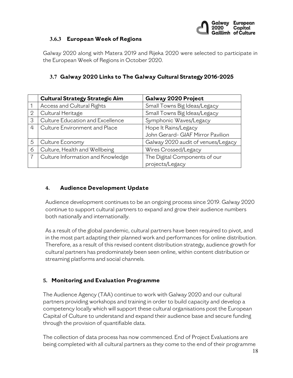

#### **3.6.3 European Week of Regions**

Galway 2020 along with Matera 2019 and Rijeka 2020 were selected to participate in the European Week of Regions in October 2020.

## **3.7 Galway 2020 Links to The Galway Cultural Strategy 2016-2025**

|                | <b>Cultural Strategy Strategic Aim</b> | Galway 2020 Project                |
|----------------|----------------------------------------|------------------------------------|
|                | Access and Cultural Rights             | Small Towns Big Ideas/Legacy       |
| $\overline{2}$ | Cultural Heritage                      | Small Towns Big Ideas/Legacy       |
| 3              | Culture Education and Excellence       | Symphonic Waves/Legacy             |
| 4              | Culture Environment and Place          | Hope It Rains/Legacy               |
|                |                                        | John Gerard-GIAF Mirror Pavilion   |
| 5              | Culture Economy                        | Galway 2020 audit of venues/Legacy |
| 6              | Culture, Health and Wellbeing          | Wires Crossed/Legacy               |
|                | Culture Information and Knowledge      | The Digital Components of our      |
|                |                                        | projects/Legacy                    |

#### **4. Audience Development Update**

Audience development continues to be an ongoing process since 2019. Galway 2020 continue to support cultural partners to expand and grow their audience numbers both nationally and internationally.

As a result of the global pandemic, cultural partners have been required to pivot, and in the most part adapting their planned work and performances for online distribution. Therefore, as a result of this revised content distribution strategy, audience growth for cultural partners has predominately been seen online, within content distribution or streaming platforms and social channels.

# **5. Monitoring and Evaluation Programme**

The Audience Agency (TAA) continue to work with Galway 2020 and our cultural partners providing workshops and training in order to build capacity and develop a competency locally which will support these cultural organisations post the European Capital of Culture to understand and expand their audience base and secure funding through the provision of quantifiable data.

The collection of data process has now commenced. End of Project Evaluations are being completed with all cultural partners as they come to the end of their programme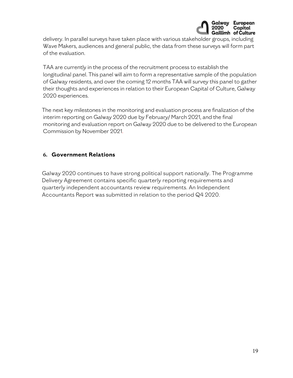

delivery. In parallel surveys have taken place with various stakeholder groups, including Wave Makers, audiences and general public, the data from these surveys will form part of the evaluation.

TAA are currently in the process of the recruitment process to establish the longitudinal panel. This panel will aim to form a representative sample of the population of Galway residents, and over the coming 12 months TAA will survey this panel to gather their thoughts and experiences in relation to their European Capital of Culture, Galway 2020 experiences.

The next key milestones in the monitoring and evaluation process are finalization of the interim reporting on Galway 2020 due by February/ March 2021, and the final monitoring and evaluation report on Galway 2020 due to be delivered to the European Commission by November 2021.

#### **6. Government Relations**

Galway 2020 continues to have strong political support nationally. The Programme Delivery Agreement contains specific quarterly reporting requirements and quarterly independent accountants review requirements. An Independent Accountants Report was submitted in relation to the period Q4 2020.